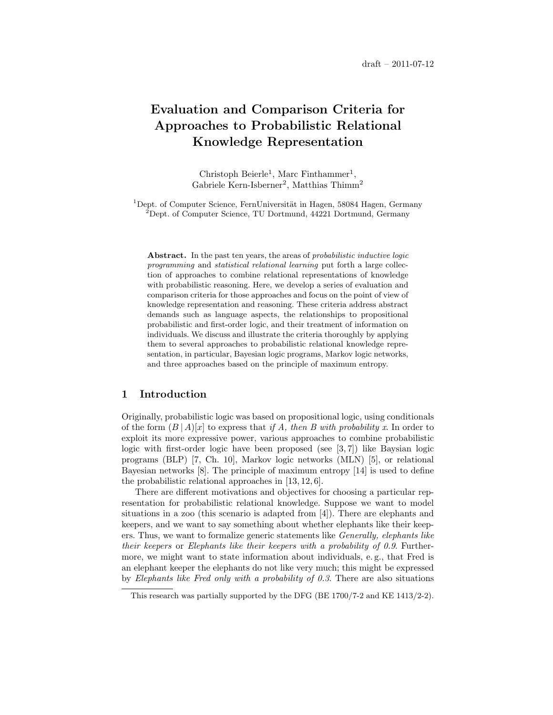# Evaluation and Comparison Criteria for Approaches to Probabilistic Relational Knowledge Representation

Christoph Beierle<sup>1</sup>, Marc Finthammer<sup>1</sup>, Gabriele Kern-Isberner<sup>2</sup>, Matthias Thimm<sup>2</sup>

<sup>1</sup>Dept. of Computer Science, FernUniversität in Hagen, 58084 Hagen, Germany <sup>2</sup>Dept. of Computer Science, TU Dortmund, 44221 Dortmund, Germany

Abstract. In the past ten years, the areas of probabilistic inductive logic programming and *statistical relational learning* put forth a large collection of approaches to combine relational representations of knowledge with probabilistic reasoning. Here, we develop a series of evaluation and comparison criteria for those approaches and focus on the point of view of knowledge representation and reasoning. These criteria address abstract demands such as language aspects, the relationships to propositional probabilistic and first-order logic, and their treatment of information on individuals. We discuss and illustrate the criteria thoroughly by applying them to several approaches to probabilistic relational knowledge representation, in particular, Bayesian logic programs, Markov logic networks, and three approaches based on the principle of maximum entropy.

# 1 Introduction

Originally, probabilistic logic was based on propositional logic, using conditionals of the form  $(B | A)[x]$  to express that if A, then B with probability x. In order to exploit its more expressive power, various approaches to combine probabilistic logic with first-order logic have been proposed (see [3, 7]) like Baysian logic programs (BLP) [7, Ch. 10], Markov logic networks (MLN) [5], or relational Bayesian networks [8]. The principle of maximum entropy [14] is used to define the probabilistic relational approaches in [13, 12, 6].

There are different motivations and objectives for choosing a particular representation for probabilistic relational knowledge. Suppose we want to model situations in a zoo (this scenario is adapted from [4]). There are elephants and keepers, and we want to say something about whether elephants like their keepers. Thus, we want to formalize generic statements like Generally, elephants like their keepers or Elephants like their keepers with a probability of 0.9. Furthermore, we might want to state information about individuals, e. g., that Fred is an elephant keeper the elephants do not like very much; this might be expressed by Elephants like Fred only with a probability of 0.3. There are also situations

This research was partially supported by the DFG (BE 1700/7-2 and KE 1413/2-2).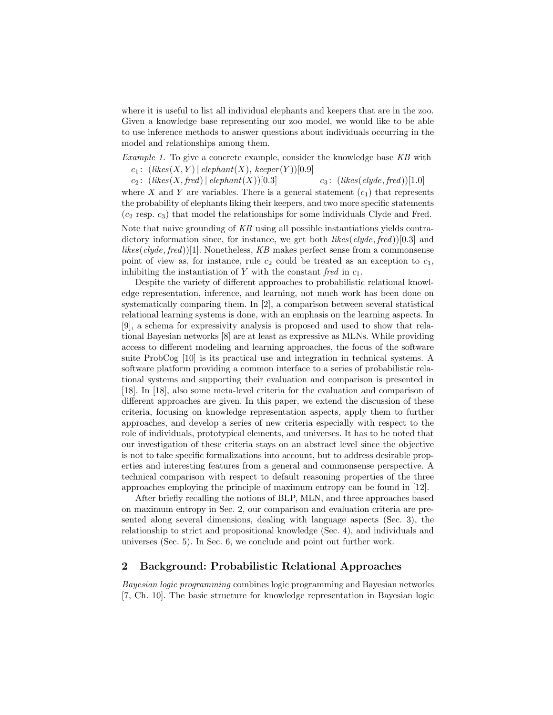where it is useful to list all individual elephants and keepers that are in the zoo. Given a knowledge base representing our zoo model, we would like to be able to use inference methods to answer questions about individuals occurring in the model and relationships among them.

Example 1. To give a concrete example, consider the knowledge base KB with

 $c_1$ : (likes(X,Y) | elephant(X), keeper(Y))[0.9]

 $c_2$ : (likes(X, fred)| elephant(X))[0.3] c<sub>3</sub>: (likes(clyde, fred))[1.0]

where X and Y are variables. There is a general statement  $(c_1)$  that represents the probability of elephants liking their keepers, and two more specific statements  $(c_2 \text{ resp. } c_3)$  that model the relationships for some individuals Clyde and Fred.

Note that naive grounding of KB using all possible instantiations yields contradictory information since, for instance, we get both likes(clyde, fred))[0.3] and  $likes(clyde, fred)$ [1]. Nonetheless, KB makes perfect sense from a commonsense point of view as, for instance, rule  $c_2$  could be treated as an exception to  $c_1$ , inhibiting the instantiation of Y with the constant  $\int$ red in  $c_1$ .

Despite the variety of different approaches to probabilistic relational knowledge representation, inference, and learning, not much work has been done on systematically comparing them. In [2], a comparison between several statistical relational learning systems is done, with an emphasis on the learning aspects. In [9], a schema for expressivity analysis is proposed and used to show that relational Bayesian networks [8] are at least as expressive as MLNs. While providing access to different modeling and learning approaches, the focus of the software suite ProbCog [10] is its practical use and integration in technical systems. A software platform providing a common interface to a series of probabilistic relational systems and supporting their evaluation and comparison is presented in [18]. In [18], also some meta-level criteria for the evaluation and comparison of different approaches are given. In this paper, we extend the discussion of these criteria, focusing on knowledge representation aspects, apply them to further approaches, and develop a series of new criteria especially with respect to the role of individuals, prototypical elements, and universes. It has to be noted that our investigation of these criteria stays on an abstract level since the objective is not to take specific formalizations into account, but to address desirable properties and interesting features from a general and commonsense perspective. A technical comparison with respect to default reasoning properties of the three approaches employing the principle of maximum entropy can be found in [12].

After briefly recalling the notions of BLP, MLN, and three approaches based on maximum entropy in Sec. 2, our comparison and evaluation criteria are presented along several dimensions, dealing with language aspects (Sec. 3), the relationship to strict and propositional knowledge (Sec. 4), and individuals and universes (Sec. 5). In Sec. 6, we conclude and point out further work.

# 2 Background: Probabilistic Relational Approaches

Bayesian logic programming combines logic programming and Bayesian networks [7, Ch. 10]. The basic structure for knowledge representation in Bayesian logic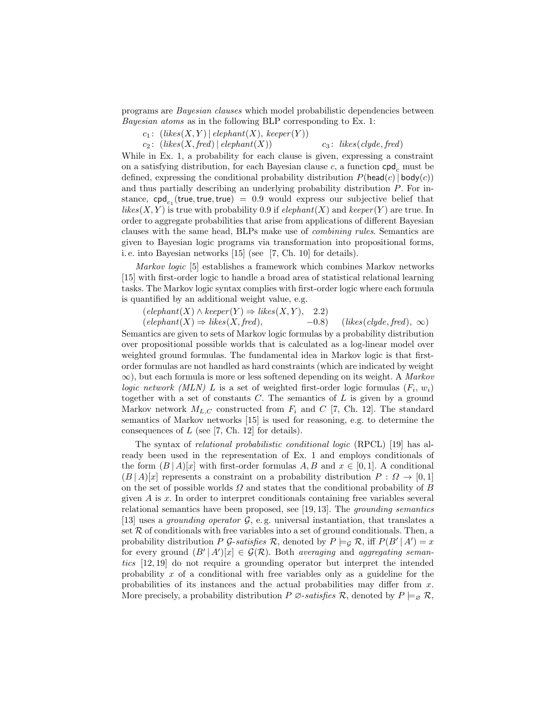programs are Bayesian clauses which model probabilistic dependencies between Bayesian atoms as in the following BLP corresponding to Ex. 1:

- $c_1$ : (likes(X,Y) | elephant(X), keeper(Y))
- $c_2$ : (likes(X, fred)| elephant(X)) c<sub>3</sub>: likes(clyde, fred)

While in Ex. 1, a probability for each clause is given, expressing a constraint on a satisfying distribution, for each Bayesian clause  $c$ , a function  $\text{cpd}_c$  must be defined, expressing the conditional probability distribution  $P(\mathsf{head}(c) | \mathsf{body}(c))$ and thus partially describing an underlying probability distribution P. For instance,  $\mathsf{cpd}_{c_1}(\mathsf{true},\mathsf{true},\mathsf{true}) = 0.9$  would express our subjective belief that likes(X, Y) is true with probability 0.9 if elephant(X) and keeper(Y) are true. In order to aggregate probabilities that arise from applications of different Bayesian clauses with the same head, BLPs make use of combining rules. Semantics are given to Bayesian logic programs via transformation into propositional forms, i. e. into Bayesian networks [15] (see [7, Ch. 10] for details).

Markov logic [5] establishes a framework which combines Markov networks [15] with first-order logic to handle a broad area of statistical relational learning tasks. The Markov logic syntax complies with first-order logic where each formula is quantified by an additional weight value, e.g.

 $(elephant(X) \wedge keeper(Y) \Rightarrow likes(X, Y), 2.2)$  $(elephant(X) \Rightarrow likes(X, freq),$   $-0.8)$   $(likes(clyde, freq), \infty)$ 

Semantics are given to sets of Markov logic formulas by a probability distribution over propositional possible worlds that is calculated as a log-linear model over weighted ground formulas. The fundamental idea in Markov logic is that firstorder formulas are not handled as hard constraints (which are indicated by weight  $\infty$ ), but each formula is more or less softened depending on its weight. A Markov logic network (MLN) L is a set of weighted first-order logic formulas  $(F_i, w_i)$ together with a set of constants  $C$ . The semantics of  $L$  is given by a ground Markov network  $M_{L,C}$  constructed from  $F_i$  and  $C$  [7, Ch. 12]. The standard semantics of Markov networks [15] is used for reasoning, e.g. to determine the consequences of  $L$  (see [7, Ch. 12] for details).

The syntax of relational probabilistic conditional logic (RPCL) [19] has already been used in the representation of Ex. 1 and employs conditionals of the form  $(B | A)[x]$  with first-order formulas  $A, B$  and  $x \in [0, 1]$ . A conditional  $(B | A)[x]$  represents a constraint on a probability distribution  $P : \Omega \to [0,1]$ on the set of possible worlds  $\Omega$  and states that the conditional probability of  $B$ given  $A$  is  $x$ . In order to interpret conditionals containing free variables several relational semantics have been proposed, see [19, 13]. The grounding semantics [13] uses a *grounding operator*  $\mathcal{G}$ , e.g. universal instantiation, that translates a set  $R$  of conditionals with free variables into a set of ground conditionals. Then, a probability distribution P G-satisfies R, denoted by  $P \models_{\mathcal{G}} \mathcal{R}$ , iff  $P(B' | A') = x$ for every ground  $(B'|A')[x] \in \mathcal{G}(\mathcal{R})$ . Both averaging and aggregating semantics [12, 19] do not require a grounding operator but interpret the intended probability x of a conditional with free variables only as a guideline for the probabilities of its instances and the actual probabilities may differ from x. More precisely, a probability distribution P  $\emptyset$ -satisfies R, denoted by  $P \models_{\emptyset} R$ ,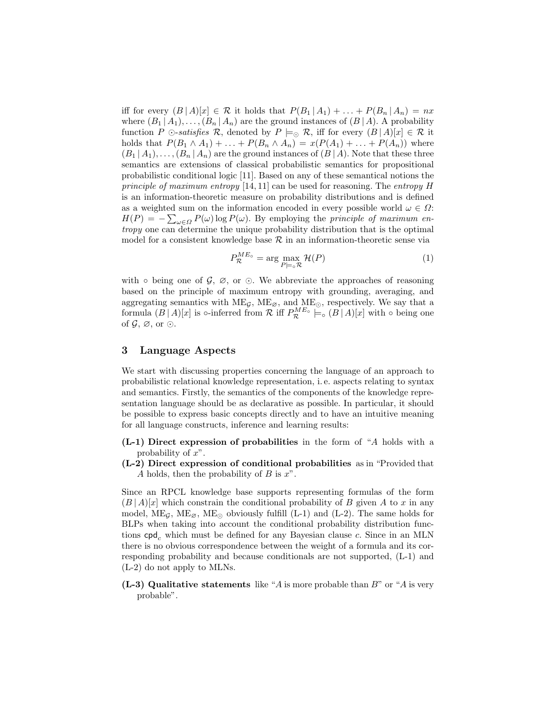iff for every  $(B | A)[x] \in \mathcal{R}$  it holds that  $P(B_1 | A_1) + \ldots + P(B_n | A_n) = nx$ where  $(B_1 | A_1), \ldots, (B_n | A_n)$  are the ground instances of  $(B | A)$ . A probability function P  $\odot$ -satisfies R, denoted by  $P \models_{\odot} R$ , iff for every  $(B | A)[x] \in \mathcal{R}$  it holds that  $P(B_1 \wedge A_1) + \ldots + P(B_n \wedge A_n) = x(P(A_1) + \ldots + P(A_n))$  where  $(B_1 | A_1), \ldots, (B_n | A_n)$  are the ground instances of  $(B | A)$ . Note that these three semantics are extensions of classical probabilistic semantics for propositional probabilistic conditional logic [11]. Based on any of these semantical notions the principle of maximum entropy  $[14, 11]$  can be used for reasoning. The entropy H is an information-theoretic measure on probability distributions and is defined as a weighted sum on the information encoded in every possible world  $\omega \in \Omega$ :  $H(P) = -\sum_{\omega \in \Omega} P(\omega) \log P(\omega)$ . By employing the *principle of maximum en*tropy one can determine the unique probability distribution that is the optimal model for a consistent knowledge base  $\mathcal R$  in an information-theoretic sense via

$$
P_{\mathcal{R}}^{ME_{\circ}} = \arg \max_{P \models_{\circ} \mathcal{R}} \mathcal{H}(P) \tag{1}
$$

with  $\circ$  being one of  $\mathcal{G}, \varnothing$ , or  $\odot$ . We abbreviate the approaches of reasoning based on the principle of maximum entropy with grounding, averaging, and aggregating semantics with  $ME_\mathcal{G}$ ,  $ME_\varnothing$ , and  $ME_\odot$ , respectively. We say that a formula  $(B | A)[x]$  is  $\circ$ -inferred from R iff  $P_{\mathcal{R}}^{ME_{\circ}} \models_{\circ} (B | A)[x]$  with  $\circ$  being one of  $\mathcal{G}, \varnothing$ , or  $\odot$ .

#### 3 Language Aspects

We start with discussing properties concerning the language of an approach to probabilistic relational knowledge representation, i. e. aspects relating to syntax and semantics. Firstly, the semantics of the components of the knowledge representation language should be as declarative as possible. In particular, it should be possible to express basic concepts directly and to have an intuitive meaning for all language constructs, inference and learning results:

- (L-1) Direct expression of probabilities in the form of "A holds with a probability of  $x$ ".
- (L-2) Direct expression of conditional probabilities as in "Provided that A holds, then the probability of  $B$  is  $x$ ".

Since an RPCL knowledge base supports representing formulas of the form  $(B | A)[x]$  which constrain the conditional probability of B given A to x in any model,  $ME_{\mathcal{G}}$ ,  $ME_{\varnothing}$ ,  $ME_{\odot}$  obviously fulfill (L-1) and (L-2). The same holds for BLPs when taking into account the conditional probability distribution functions  $\text{cpd}_c$  which must be defined for any Bayesian clause c. Since in an MLN there is no obvious correspondence between the weight of a formula and its corresponding probability and because conditionals are not supported, (L-1) and (L-2) do not apply to MLNs.

(L-3) Qualitative statements like "A is more probable than  $B$ " or "A is very probable".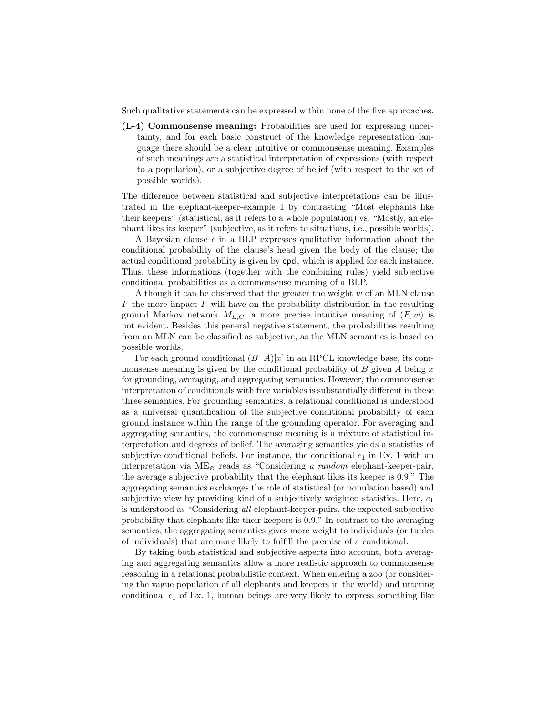Such qualitative statements can be expressed within none of the five approaches.

(L-4) Commonsense meaning: Probabilities are used for expressing uncertainty, and for each basic construct of the knowledge representation language there should be a clear intuitive or commonsense meaning. Examples of such meanings are a statistical interpretation of expressions (with respect to a population), or a subjective degree of belief (with respect to the set of possible worlds).

The difference between statistical and subjective interpretations can be illustrated in the elephant-keeper-example 1 by contrasting "Most elephants like their keepers" (statistical, as it refers to a whole population) vs. "Mostly, an elephant likes its keeper" (subjective, as it refers to situations, i.e., possible worlds).

A Bayesian clause c in a BLP expresses qualitative information about the conditional probability of the clause's head given the body of the clause; the actual conditional probability is given by  $\text{cpd}_c$  which is applied for each instance. Thus, these informations (together with the combining rules) yield subjective conditional probabilities as a commonsense meaning of a BLP.

Although it can be observed that the greater the weight  $w$  of an MLN clause  $F$  the more impact  $F$  will have on the probability distribution in the resulting ground Markov network  $M_{L,C}$ , a more precise intuitive meaning of  $(F, w)$  is not evident. Besides this general negative statement, the probabilities resulting from an MLN can be classified as subjective, as the MLN semantics is based on possible worlds.

For each ground conditional  $(B | A)[x]$  in an RPCL knowledge base, its commonsense meaning is given by the conditional probability of  $B$  given  $A$  being  $x$ for grounding, averaging, and aggregating semantics. However, the commonsense interpretation of conditionals with free variables is substantially different in these three semantics. For grounding semantics, a relational conditional is understood as a universal quantification of the subjective conditional probability of each ground instance within the range of the grounding operator. For averaging and aggregating semantics, the commonsense meaning is a mixture of statistical interpretation and degrees of belief. The averaging semantics yields a statistics of subjective conditional beliefs. For instance, the conditional  $c_1$  in Ex. 1 with an interpretation via  $ME_\varnothing$  reads as "Considering a random elephant-keeper-pair, the average subjective probability that the elephant likes its keeper is 0.9." The aggregating semantics exchanges the role of statistical (or population based) and subjective view by providing kind of a subjectively weighted statistics. Here,  $c_1$ is understood as "Considering all elephant-keeper-pairs, the expected subjective probability that elephants like their keepers is 0.9." In contrast to the averaging semantics, the aggregating semantics gives more weight to individuals (or tuples of individuals) that are more likely to fulfill the premise of a conditional.

By taking both statistical and subjective aspects into account, both averaging and aggregating semantics allow a more realistic approach to commonsense reasoning in a relational probabilistic context. When entering a zoo (or considering the vague population of all elephants and keepers in the world) and uttering conditional  $c_1$  of Ex. 1, human beings are very likely to express something like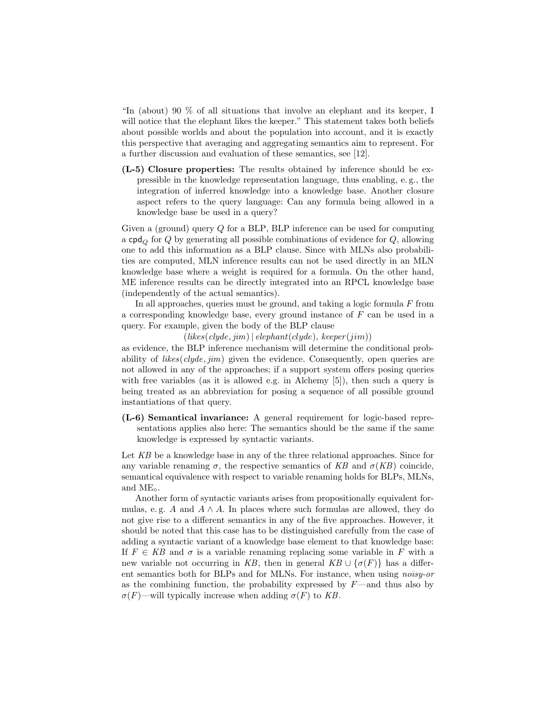"In (about) 90 % of all situations that involve an elephant and its keeper, I will notice that the elephant likes the keeper." This statement takes both beliefs about possible worlds and about the population into account, and it is exactly this perspective that averaging and aggregating semantics aim to represent. For a further discussion and evaluation of these semantics, see [12].

(L-5) Closure properties: The results obtained by inference should be expressible in the knowledge representation language, thus enabling, e. g., the integration of inferred knowledge into a knowledge base. Another closure aspect refers to the query language: Can any formula being allowed in a knowledge base be used in a query?

Given a (ground) query Q for a BLP, BLP inference can be used for computing a cpd<sub> $O$ </sub> for  $Q$  by generating all possible combinations of evidence for  $Q$ , allowing one to add this information as a BLP clause. Since with MLNs also probabilities are computed, MLN inference results can not be used directly in an MLN knowledge base where a weight is required for a formula. On the other hand, ME inference results can be directly integrated into an RPCL knowledge base (independently of the actual semantics).

In all approaches, queries must be ground, and taking a logic formula F from a corresponding knowledge base, every ground instance of F can be used in a query. For example, given the body of the BLP clause

 $(likes(clyde, jim) | elephant(clyde), keeper(jim))$ 

as evidence, the BLP inference mechanism will determine the conditional probability of  $likes(clyde, jim)$  given the evidence. Consequently, open queries are not allowed in any of the approaches; if a support system offers posing queries with free variables (as it is allowed e.g. in Alchemy [5]), then such a query is being treated as an abbreviation for posing a sequence of all possible ground instantiations of that query.

(L-6) Semantical invariance: A general requirement for logic-based representations applies also here: The semantics should be the same if the same knowledge is expressed by syntactic variants.

Let KB be a knowledge base in any of the three relational approaches. Since for any variable renaming  $\sigma$ , the respective semantics of KB and  $\sigma(KB)$  coincide, semantical equivalence with respect to variable renaming holds for BLPs, MLNs, and  $ME<sub>°</sub>$ .

Another form of syntactic variants arises from propositionally equivalent formulas, e.g. A and  $A \wedge A$ . In places where such formulas are allowed, they do not give rise to a different semantics in any of the five approaches. However, it should be noted that this case has to be distinguished carefully from the case of adding a syntactic variant of a knowledge base element to that knowledge base: If  $F \in KB$  and  $\sigma$  is a variable renaming replacing some variable in F with a new variable not occurring in KB, then in general  $KB \cup {\{\sigma(F)\}}$  has a different semantics both for BLPs and for MLNs. For instance, when using *noisy-or* as the combining function, the probability expressed by  $F$ —and thus also by  $\sigma(F)$ —will typically increase when adding  $\sigma(F)$  to KB.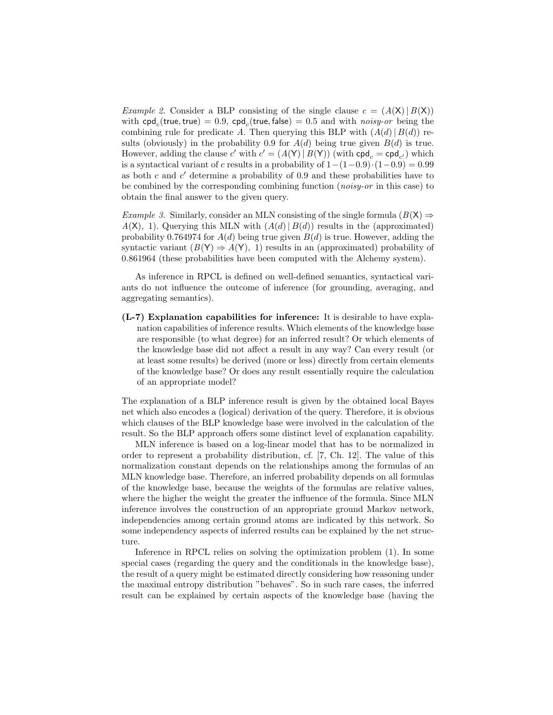*Example 2.* Consider a BLP consisting of the single clause  $c = (A(X) | B(X))$ with  $\mathsf{cpd}_c(\mathsf{true},\mathsf{true})=0.9$ ,  $\mathsf{cpd}_c(\mathsf{true},\mathsf{false})=0.5$  and with  $noisy\text{-}or$  being the combining rule for predicate A. Then querying this BLP with  $(A(d) | B(d))$  results (obviously) in the probability 0.9 for  $A(d)$  being true given  $B(d)$  is true. However, adding the clause  $c'$  with  $c' = (A(Y) | B(Y))$  (with  $\mathsf{cpd}_c = \mathsf{cpd}_{c'}$ ) which is a syntactical variant of c results in a probability of  $1-(1-0.9)\cdot(1-0.9) = 0.99$ as both  $c$  and  $c'$  determine a probability of 0.9 and these probabilities have to be combined by the corresponding combining function (*noisy-or* in this case) to obtain the final answer to the given query.

Example 3. Similarly, consider an MLN consisting of the single formula  $(B(X) \Rightarrow$  $A(X)$ , 1). Querying this MLN with  $(A(d) | B(d))$  results in the (approximated) probability 0.764974 for  $A(d)$  being true given  $B(d)$  is true. However, adding the syntactic variant  $(B(Y) \Rightarrow A(Y), 1)$  results in an (approximated) probability of 0.861964 (these probabilities have been computed with the Alchemy system).

As inference in RPCL is defined on well-defined semantics, syntactical variants do not influence the outcome of inference (for grounding, averaging, and aggregating semantics).

(L-7) Explanation capabilities for inference: It is desirable to have explanation capabilities of inference results. Which elements of the knowledge base are responsible (to what degree) for an inferred result? Or which elements of the knowledge base did not affect a result in any way? Can every result (or at least some results) be derived (more or less) directly from certain elements of the knowledge base? Or does any result essentially require the calculation of an appropriate model?

The explanation of a BLP inference result is given by the obtained local Bayes net which also encodes a (logical) derivation of the query. Therefore, it is obvious which clauses of the BLP knowledge base were involved in the calculation of the result. So the BLP approach offers some distinct level of explanation capability.

MLN inference is based on a log-linear model that has to be normalized in order to represent a probability distribution, cf. [7, Ch. 12]. The value of this normalization constant depends on the relationships among the formulas of an MLN knowledge base. Therefore, an inferred probability depends on all formulas of the knowledge base, because the weights of the formulas are relative values, where the higher the weight the greater the influence of the formula. Since MLN inference involves the construction of an appropriate ground Markov network, independencies among certain ground atoms are indicated by this network. So some independency aspects of inferred results can be explained by the net structure.

Inference in RPCL relies on solving the optimization problem (1). In some special cases (regarding the query and the conditionals in the knowledge base), the result of a query might be estimated directly considering how reasoning under the maximal entropy distribution "behaves". So in such rare cases, the inferred result can be explained by certain aspects of the knowledge base (having the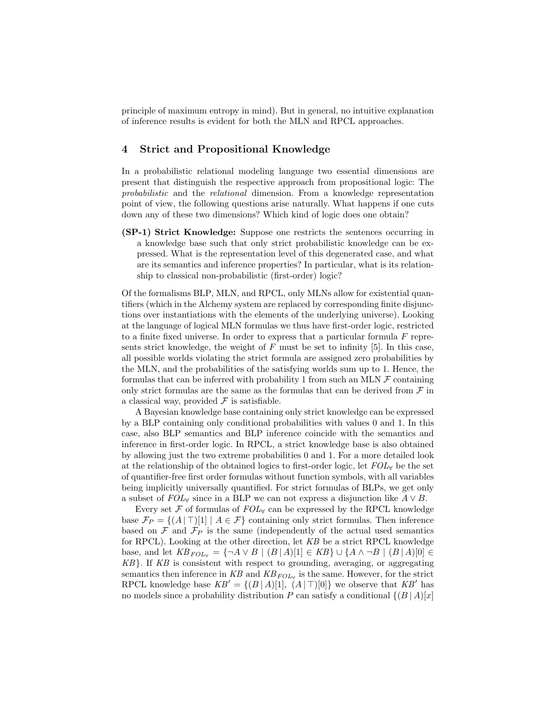principle of maximum entropy in mind). But in general, no intuitive explanation of inference results is evident for both the MLN and RPCL approaches.

#### 4 Strict and Propositional Knowledge

In a probabilistic relational modeling language two essential dimensions are present that distinguish the respective approach from propositional logic: The probabilistic and the relational dimension. From a knowledge representation point of view, the following questions arise naturally. What happens if one cuts down any of these two dimensions? Which kind of logic does one obtain?

(SP-1) Strict Knowledge: Suppose one restricts the sentences occurring in a knowledge base such that only strict probabilistic knowledge can be expressed. What is the representation level of this degenerated case, and what are its semantics and inference properties? In particular, what is its relationship to classical non-probabilistic (first-order) logic?

Of the formalisms BLP, MLN, and RPCL, only MLNs allow for existential quantifiers (which in the Alchemy system are replaced by corresponding finite disjunctions over instantiations with the elements of the underlying universe). Looking at the language of logical MLN formulas we thus have first-order logic, restricted to a finite fixed universe. In order to express that a particular formula  $F$  represents strict knowledge, the weight of  $F$  must be set to infinity [5]. In this case, all possible worlds violating the strict formula are assigned zero probabilities by the MLN, and the probabilities of the satisfying worlds sum up to 1. Hence, the formulas that can be inferred with probability 1 from such an MLN  $\mathcal F$  containing only strict formulas are the same as the formulas that can be derived from  $\mathcal F$  in a classical way, provided  $\mathcal F$  is satisfiable.

A Bayesian knowledge base containing only strict knowledge can be expressed by a BLP containing only conditional probabilities with values 0 and 1. In this case, also BLP semantics and BLP inference coincide with the semantics and inference in first-order logic. In RPCL, a strict knowledge base is also obtained by allowing just the two extreme probabilities 0 and 1. For a more detailed look at the relationship of the obtained logics to first-order logic, let  $FOL<sub>\forall</sub>$  be the set of quantifier-free first order formulas without function symbols, with all variables being implicitly universally quantified. For strict formulas of BLPs, we get only a subset of  $FOL<sub>\forall</sub>$  since in a BLP we can not express a disjunction like  $A \vee B$ .

Every set F of formulas of  $FOL<sub>\forall</sub>$  can be expressed by the RPCL knowledge base  $\mathcal{F}_P = \{(A | \top) [1] | A \in \mathcal{F}\}\)$  containing only strict formulas. Then inference based on  $\mathcal F$  and  $\mathcal F_P$  is the same (independently of the actual used semantics for RPCL). Looking at the other direction, let KB be a strict RPCL knowledge base, and let  $KB_{FOL_{\forall}} = {\neg A \lor B \mid (B \mid A)[1] \in KB} \cup \{A \land \neg B \mid (B \mid A)[0] \in$ KB}. If KB is consistent with respect to grounding, averaging, or aggregating semantics then inference in  $KB$  and  $KB_{FOL\vee}$  is the same. However, for the strict RPCL knowledge base  $KB' = \{(B | A) [1], (A | \top) [0]\}$  we observe that  $KB'$  has no models since a probability distribution P can satisfy a conditional  $\{(B | A)[x]$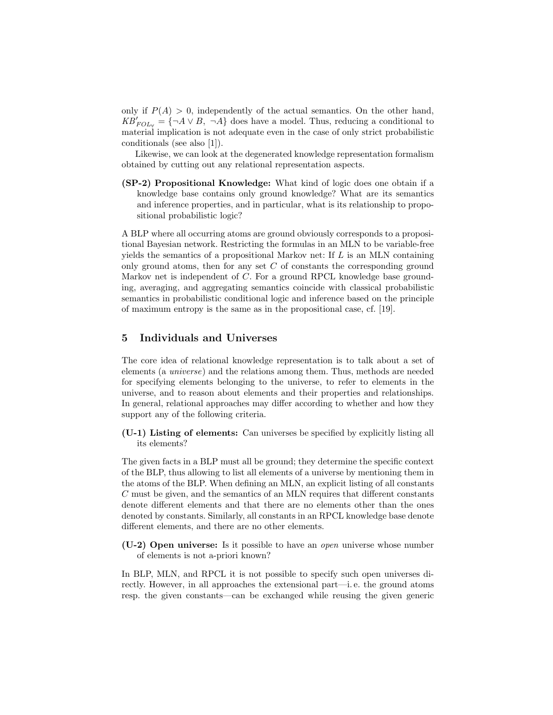only if  $P(A) > 0$ , independently of the actual semantics. On the other hand,  $KB'_{FOL_{\forall}} = \{\neg A \lor B, \neg A\}$  does have a model. Thus, reducing a conditional to material implication is not adequate even in the case of only strict probabilistic conditionals (see also [1]).

Likewise, we can look at the degenerated knowledge representation formalism obtained by cutting out any relational representation aspects.

(SP-2) Propositional Knowledge: What kind of logic does one obtain if a knowledge base contains only ground knowledge? What are its semantics and inference properties, and in particular, what is its relationship to propositional probabilistic logic?

A BLP where all occurring atoms are ground obviously corresponds to a propositional Bayesian network. Restricting the formulas in an MLN to be variable-free yields the semantics of a propositional Markov net: If  $L$  is an MLN containing only ground atoms, then for any set  $C$  of constants the corresponding ground Markov net is independent of C. For a ground RPCL knowledge base grounding, averaging, and aggregating semantics coincide with classical probabilistic semantics in probabilistic conditional logic and inference based on the principle of maximum entropy is the same as in the propositional case, cf. [19].

# 5 Individuals and Universes

The core idea of relational knowledge representation is to talk about a set of elements (a universe) and the relations among them. Thus, methods are needed for specifying elements belonging to the universe, to refer to elements in the universe, and to reason about elements and their properties and relationships. In general, relational approaches may differ according to whether and how they support any of the following criteria.

(U-1) Listing of elements: Can universes be specified by explicitly listing all its elements?

The given facts in a BLP must all be ground; they determine the specific context of the BLP, thus allowing to list all elements of a universe by mentioning them in the atoms of the BLP. When defining an MLN, an explicit listing of all constants C must be given, and the semantics of an MLN requires that different constants denote different elements and that there are no elements other than the ones denoted by constants. Similarly, all constants in an RPCL knowledge base denote different elements, and there are no other elements.

(U-2) Open universe: Is it possible to have an open universe whose number of elements is not a-priori known?

In BLP, MLN, and RPCL it is not possible to specify such open universes directly. However, in all approaches the extensional part—i. e. the ground atoms resp. the given constants—can be exchanged while reusing the given generic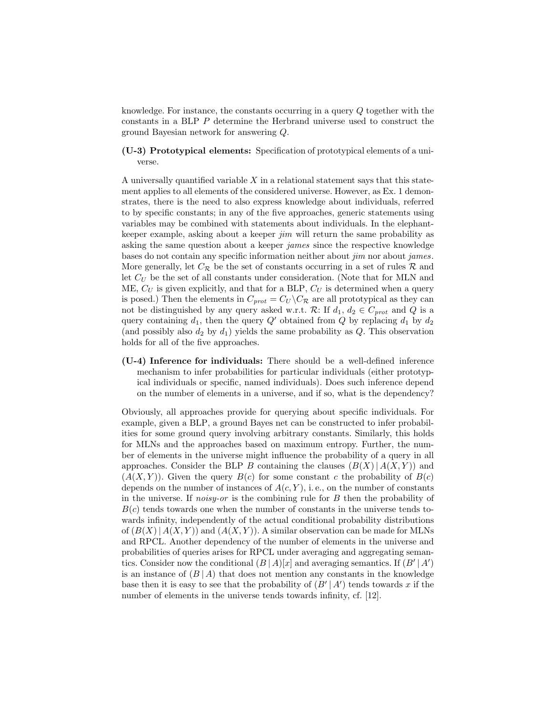knowledge. For instance, the constants occurring in a query Q together with the constants in a BLP P determine the Herbrand universe used to construct the ground Bayesian network for answering Q.

(U-3) Prototypical elements: Specification of prototypical elements of a universe.

A universally quantified variable  $X$  in a relational statement says that this statement applies to all elements of the considered universe. However, as Ex. 1 demonstrates, there is the need to also express knowledge about individuals, referred to by specific constants; in any of the five approaches, generic statements using variables may be combined with statements about individuals. In the elephantkeeper example, asking about a keeper jim will return the same probability as asking the same question about a keeper james since the respective knowledge bases do not contain any specific information neither about *jim* nor about *james*. More generally, let  $C_{\mathcal{R}}$  be the set of constants occurring in a set of rules  $\mathcal{R}$  and let  $C_U$  be the set of all constants under consideration. (Note that for MLN and ME,  $C_U$  is given explicitly, and that for a BLP,  $C_U$  is determined when a query is posed.) Then the elements in  $C_{prot} = C_U \backslash C_{\mathcal{R}}$  are all prototypical as they can not be distinguished by any query asked w.r.t. R: If  $d_1, d_2 \in C_{prot}$  and Q is a query containing  $d_1$ , then the query Q' obtained from Q by replacing  $d_1$  by  $d_2$ (and possibly also  $d_2$  by  $d_1$ ) yields the same probability as  $Q$ . This observation holds for all of the five approaches.

(U-4) Inference for individuals: There should be a well-defined inference mechanism to infer probabilities for particular individuals (either prototypical individuals or specific, named individuals). Does such inference depend on the number of elements in a universe, and if so, what is the dependency?

Obviously, all approaches provide for querying about specific individuals. For example, given a BLP, a ground Bayes net can be constructed to infer probabilities for some ground query involving arbitrary constants. Similarly, this holds for MLNs and the approaches based on maximum entropy. Further, the number of elements in the universe might influence the probability of a query in all approaches. Consider the BLP B containing the clauses  $(B(X) | A(X, Y))$  and  $(A(X, Y))$ . Given the query  $B(c)$  for some constant c the probability of  $B(c)$ depends on the number of instances of  $A(c, Y)$ , i.e., on the number of constants in the universe. If noisy-or is the combining rule for  $B$  then the probability of  $B(c)$  tends towards one when the number of constants in the universe tends towards infinity, independently of the actual conditional probability distributions of  $(B(X) | A(X, Y))$  and  $(A(X, Y))$ . A similar observation can be made for MLNs and RPCL. Another dependency of the number of elements in the universe and probabilities of queries arises for RPCL under averaging and aggregating semantics. Consider now the conditional  $(B | A)[x]$  and averaging semantics. If  $(B' | A')$ is an instance of  $(B \mid A)$  that does not mention any constants in the knowledge base then it is easy to see that the probability of  $(B'|A')$  tends towards x if the number of elements in the universe tends towards infinity, cf. [12].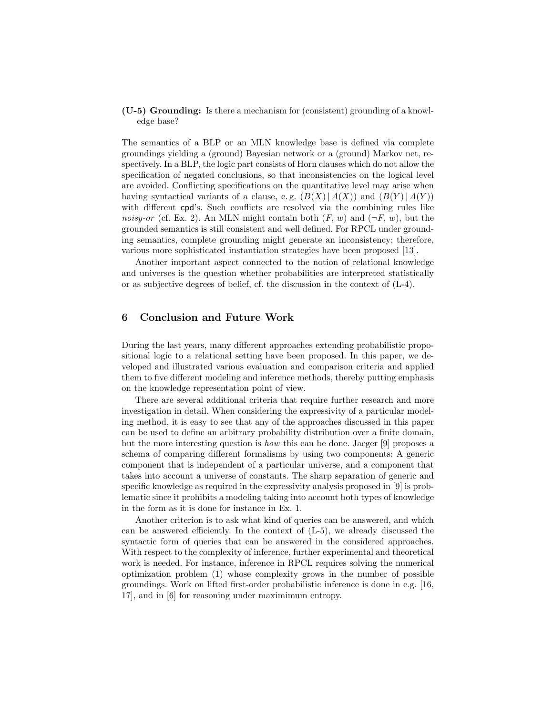(U-5) Grounding: Is there a mechanism for (consistent) grounding of a knowledge base?

The semantics of a BLP or an MLN knowledge base is defined via complete groundings yielding a (ground) Bayesian network or a (ground) Markov net, respectively. In a BLP, the logic part consists of Horn clauses which do not allow the specification of negated conclusions, so that inconsistencies on the logical level are avoided. Conflicting specifications on the quantitative level may arise when having syntactical variants of a clause, e.g.  $(B(X) | A(X))$  and  $(B(Y) | A(Y))$ with different cpd's. Such conflicts are resolved via the combining rules like noisy-or (cf. Ex. 2). An MLN might contain both  $(F, w)$  and  $(\neg F, w)$ , but the grounded semantics is still consistent and well defined. For RPCL under grounding semantics, complete grounding might generate an inconsistency; therefore, various more sophisticated instantiation strategies have been proposed [13].

Another important aspect connected to the notion of relational knowledge and universes is the question whether probabilities are interpreted statistically or as subjective degrees of belief, cf. the discussion in the context of (L-4).

# 6 Conclusion and Future Work

During the last years, many different approaches extending probabilistic propositional logic to a relational setting have been proposed. In this paper, we developed and illustrated various evaluation and comparison criteria and applied them to five different modeling and inference methods, thereby putting emphasis on the knowledge representation point of view.

There are several additional criteria that require further research and more investigation in detail. When considering the expressivity of a particular modeling method, it is easy to see that any of the approaches discussed in this paper can be used to define an arbitrary probability distribution over a finite domain, but the more interesting question is how this can be done. Jaeger [9] proposes a schema of comparing different formalisms by using two components: A generic component that is independent of a particular universe, and a component that takes into account a universe of constants. The sharp separation of generic and specific knowledge as required in the expressivity analysis proposed in [9] is problematic since it prohibits a modeling taking into account both types of knowledge in the form as it is done for instance in Ex. 1.

Another criterion is to ask what kind of queries can be answered, and which can be answered efficiently. In the context of (L-5), we already discussed the syntactic form of queries that can be answered in the considered approaches. With respect to the complexity of inference, further experimental and theoretical work is needed. For instance, inference in RPCL requires solving the numerical optimization problem (1) whose complexity grows in the number of possible groundings. Work on lifted first-order probabilistic inference is done in e.g. [16, 17], and in [6] for reasoning under maximimum entropy.